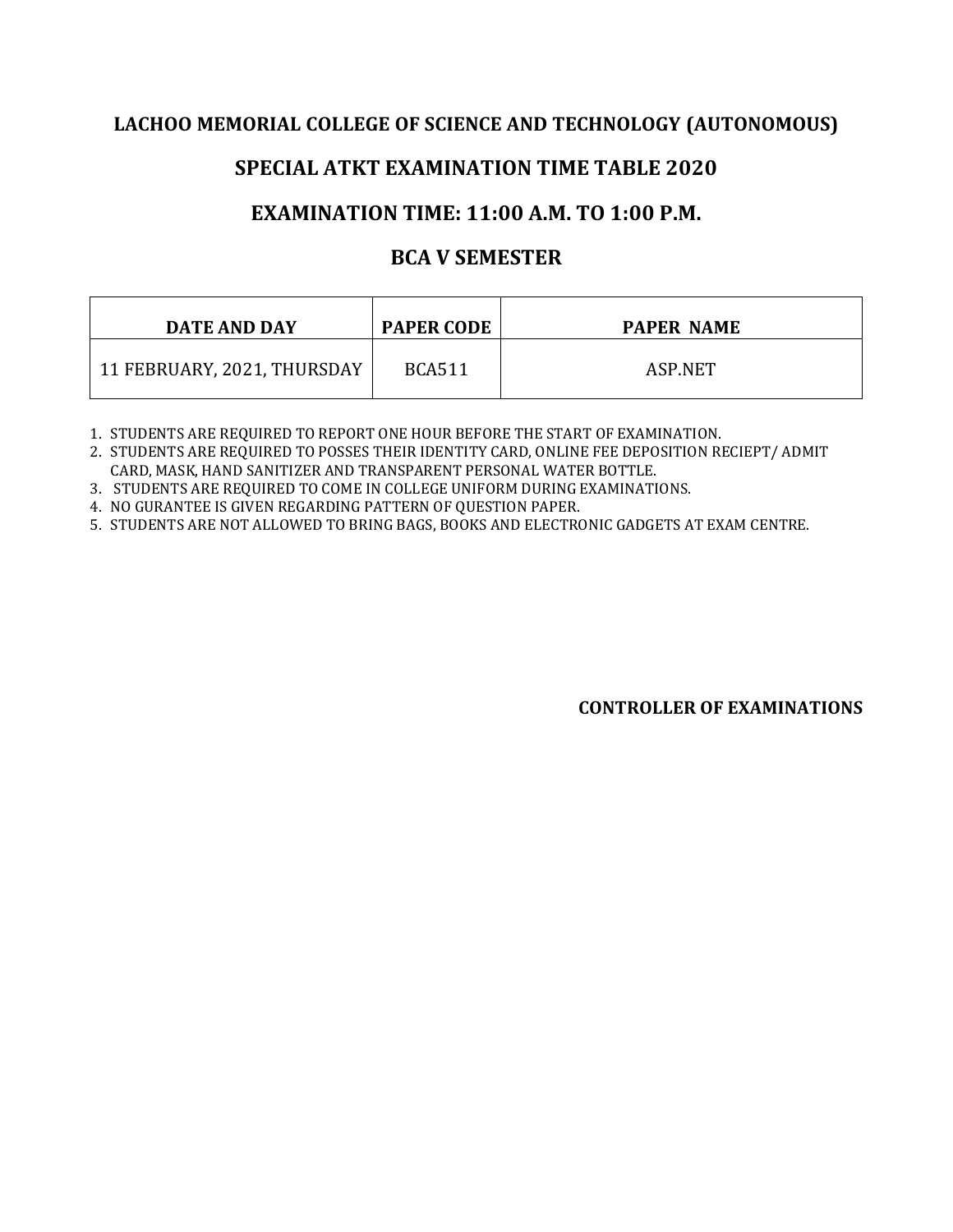#### **LACHOO MEMORIAL COLLEGE OF SCIENCE AND TECHNOLOGY (AUTONOMOUS)**

## **SPECIAL ATKT EXAMINATION TIME TABLE 2020**

# **EXAMINATION TIME: 11:00 A.M. TO 1:00 P.M.**

# **BCA V SEMESTER**

| DATE AND DAY                | <b>PAPER CODE</b> | <b>PAPER NAME</b> |
|-----------------------------|-------------------|-------------------|
| 11 FEBRUARY, 2021, THURSDAY | <b>BCA511</b>     | ASP.NET           |

1. STUDENTS ARE REQUIRED TO REPORT ONE HOUR BEFORE THE START OF EXAMINATION.

2. STUDENTS ARE REQUIRED TO POSSES THEIR IDENTITY CARD, ONLINE FEE DEPOSITION RECIEPT/ ADMIT CARD, MASK, HAND SANITIZER AND TRANSPARENT PERSONAL WATER BOTTLE.

3. STUDENTS ARE REQUIRED TO COME IN COLLEGE UNIFORM DURING EXAMINATIONS.

4. NO GURANTEE IS GIVEN REGARDING PATTERN OF QUESTION PAPER.

5. STUDENTS ARE NOT ALLOWED TO BRING BAGS, BOOKS AND ELECTRONIC GADGETS AT EXAM CENTRE.

**CONTROLLER OF EXAMINATIONS**